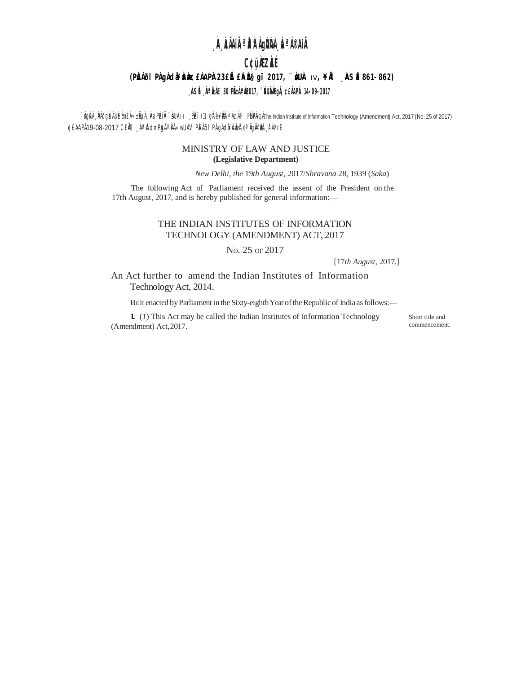# <sub>"</sub>À ÀÃAiªÀÂÁgÙÀÀ ÀªÁ®AiÂ

## C¢üÀZÀÉ

#### (PŘÁÖI PÀGÁda¥rÀð £ÁAPÀ 23£ Æ £ŘÁÉS gï 2017, "ÁUÀ IV,¥ÀL AS É 861-862)

#### , ÀSÉ, Àª ÀÁE 30 PIÉÁ¥À2017, ''ÉUÀÀGIÀ ¢EÁAPÀ 14-09-2017

ົ 'ÁgЍ , PÁðgोzÌ Ubईmï£Ì «±฿µ , ौаPlÀi Ài ´ lùl⊦ । , PLï (1) gl ะ ¥฿ ª Azl F Pไผ่PAqłThe Indian Institute of Information Technology (Amendment) Act, 2017 (No. 25 of 2017) ¢£ÁAPÁ19-08-2017 CEÄB ÁªDJ¤PDAªJÁ»WUÁV PEÁÕI PÁQIGHANDER éªÄQÄ¥DDA TÁVZÍ

#### MINISTRY OF LAW AND JUSTICE (Legislative Department)

New Delhi, the 19th August, 2017/Shravana 28, 1939 (Saka)

The following Act of Parliament received the assent of the President on the 17th August, 2017, and is hereby published for general information:-

### THE INDIAN INSTITUTES OF INFORMATION TECHNOLOGY (AMENDMENT) ACT, 2017

No. 25 OF 2017

 $[17th August, 2017.]$ 

An Act further to amend the Indian Institutes of Information Technology Act, 2014.

BE it enacted by Parliament in the Sixty-eighth Year of the Republic of India as follows:-

1.  $(I)$  This Act may be called the Indian Institutes of Information Technology (Amendment) Act, 2017.

Short title and commencement.